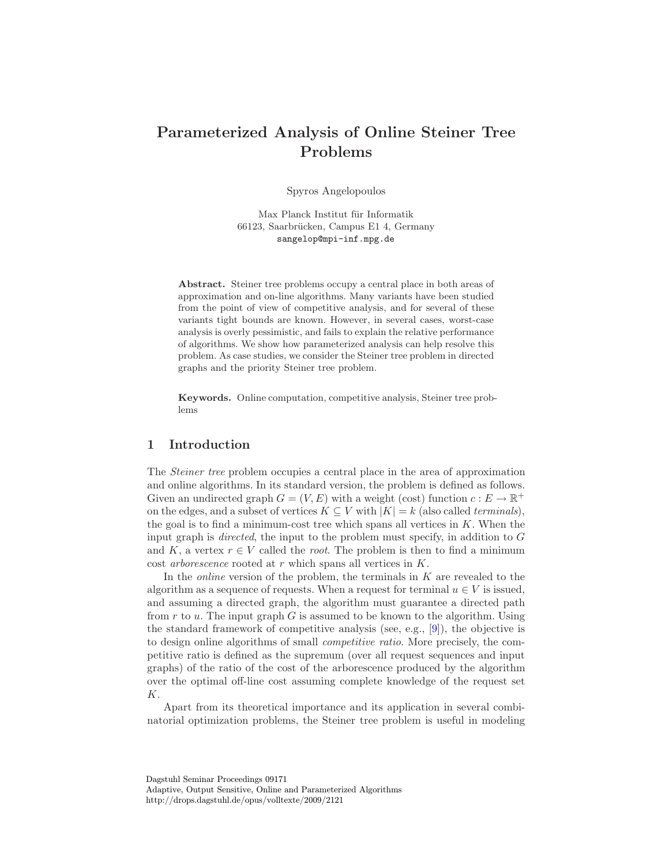# Parameterized Analysis of Online Steiner Tree Problems

Spyros Angelopoulos

Max Planck Institut für Informatik 66123, Saarbrücken, Campus E1 4, Germany sangelop@mpi-inf.mpg.de

Abstract. Steiner tree problems occupy a central place in both areas of approximation and on-line algorithms. Many variants have been studied from the point of view of competitive analysis, and for several of these variants tight bounds are known. However, in several cases, worst-case analysis is overly pessimistic, and fails to explain the relative performance of algorithms. We show how parameterized analysis can help resolve this problem. As case studies, we consider the Steiner tree problem in directed graphs and the priority Steiner tree problem.

Keywords. Online computation, competitive analysis, Steiner tree problems

# 1 Introduction

The Steiner tree problem occupies a central place in the area of approximation and online algorithms. In its standard version, the problem is defined as follows. Given an undirected graph  $G = (V, E)$  with a weight (cost) function  $c : E \to \mathbb{R}^+$ on the edges, and a subset of vertices  $K \subseteq V$  with  $|K| = k$  (also called *terminals*), the goal is to find a minimum-cost tree which spans all vertices in  $K$ . When the input graph is *directed*, the input to the problem must specify, in addition to  $G$ and K, a vertex  $r \in V$  called the *root*. The problem is then to find a minimum cost *arborescence* rooted at  $r$  which spans all vertices in  $K$ .

In the *online* version of the problem, the terminals in  $K$  are revealed to the algorithm as a sequence of requests. When a request for terminal  $u \in V$  is issued, and assuming a directed graph, the algorithm must guarantee a directed path from  $r$  to  $u$ . The input graph  $G$  is assumed to be known to the algorithm. Using the standard framework of competitive analysis (see, e.g., [\[9\]](#page-9-0)), the objective is to design online algorithms of small competitive ratio. More precisely, the competitive ratio is defined as the supremum (over all request sequences and input graphs) of the ratio of the cost of the arborescence produced by the algorithm over the optimal off-line cost assuming complete knowledge of the request set K.

Apart from its theoretical importance and its application in several combinatorial optimization problems, the Steiner tree problem is useful in modeling

Dagstuhl Seminar Proceedings 09171 Adaptive, Output Sensitive, Online and Parameterized Algorithms http://drops.dagstuhl.de/opus/volltexte/2009/2121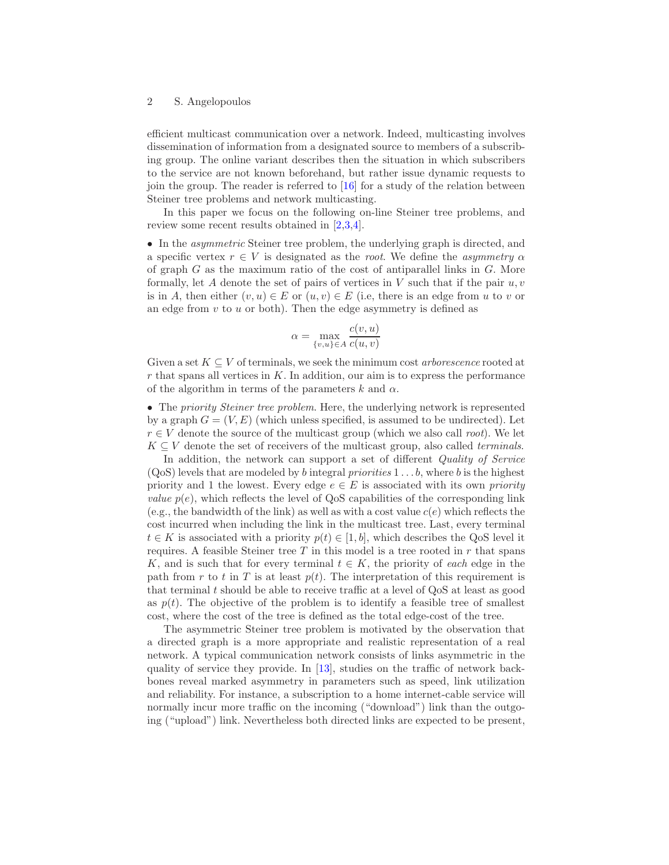efficient multicast communication over a network. Indeed, multicasting involves dissemination of information from a designated source to members of a subscribing group. The online variant describes then the situation in which subscribers to the service are not known beforehand, but rather issue dynamic requests to join the group. The reader is referred to [\[16\]](#page-10-0) for a study of the relation between Steiner tree problems and network multicasting.

In this paper we focus on the following on-line Steiner tree problems, and review some recent results obtained in [\[2](#page-9-1)[,3](#page-9-2)[,4\]](#page-9-3).

• In the *asymmetric* Steiner tree problem, the underlying graph is directed, and a specific vertex  $r \in V$  is designated as the *root*. We define the *asymmetry*  $\alpha$ of graph  $G$  as the maximum ratio of the cost of antiparallel links in  $G$ . More formally, let A denote the set of pairs of vertices in  $V$  such that if the pair  $u, v$ is in A, then either  $(v, u) \in E$  or  $(u, v) \in E$  (i.e, there is an edge from u to v or an edge from  $v$  to  $u$  or both). Then the edge asymmetry is defined as

$$
\alpha = \max_{\{v, u\} \in A} \frac{c(v, u)}{c(u, v)}
$$

Given a set  $K \subseteq V$  of terminals, we seek the minimum cost *arborescence* rooted at  $r$  that spans all vertices in  $K$ . In addition, our aim is to express the performance of the algorithm in terms of the parameters k and  $\alpha$ .

• The *priority Steiner tree problem*. Here, the underlying network is represented by a graph  $G = (V, E)$  (which unless specified, is assumed to be undirected). Let  $r \in V$  denote the source of the multicast group (which we also call *root*). We let  $K \subseteq V$  denote the set of receivers of the multicast group, also called *terminals*.

In addition, the network can support a set of different *Quality of Service*  $(QoS)$  levels that are modeled by b integral priorities  $1 \dots b$ , where b is the highest priority and 1 the lowest. Every edge  $e \in E$  is associated with its own *priority value*  $p(e)$ , which reflects the level of QoS capabilities of the corresponding link (e.g., the bandwidth of the link) as well as with a cost value  $c(e)$  which reflects the cost incurred when including the link in the multicast tree. Last, every terminal  $t \in K$  is associated with a priority  $p(t) \in [1, b]$ , which describes the QoS level it requires. A feasible Steiner tree  $T$  in this model is a tree rooted in  $r$  that spans K, and is such that for every terminal  $t \in K$ , the priority of each edge in the path from r to t in T is at least  $p(t)$ . The interpretation of this requirement is that terminal t should be able to receive traffic at a level of QoS at least as good as  $p(t)$ . The objective of the problem is to identify a feasible tree of smallest cost, where the cost of the tree is defined as the total edge-cost of the tree.

The asymmetric Steiner tree problem is motivated by the observation that a directed graph is a more appropriate and realistic representation of a real network. A typical communication network consists of links asymmetric in the quality of service they provide. In  $[13]$ , studies on the traffic of network backbones reveal marked asymmetry in parameters such as speed, link utilization and reliability. For instance, a subscription to a home internet-cable service will normally incur more traffic on the incoming ("download") link than the outgoing ("upload") link. Nevertheless both directed links are expected to be present,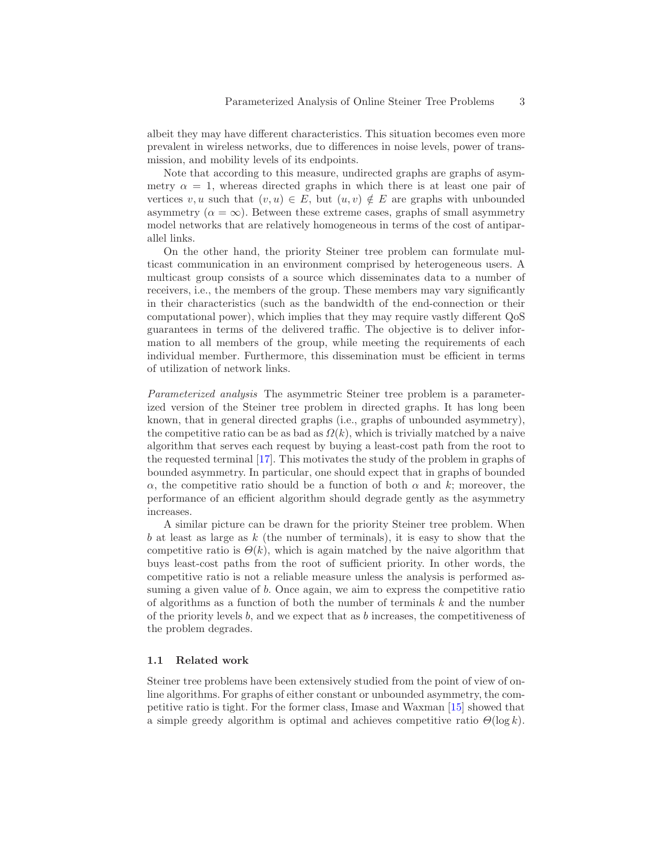albeit they may have different characteristics. This situation becomes even more prevalent in wireless networks, due to differences in noise levels, power of transmission, and mobility levels of its endpoints.

Note that according to this measure, undirected graphs are graphs of asymmetry  $\alpha = 1$ , whereas directed graphs in which there is at least one pair of vertices v, u such that  $(v, u) \in E$ , but  $(u, v) \notin E$  are graphs with unbounded asymmetry  $(\alpha = \infty)$ . Between these extreme cases, graphs of small asymmetry model networks that are relatively homogeneous in terms of the cost of antiparallel links.

On the other hand, the priority Steiner tree problem can formulate multicast communication in an environment comprised by heterogeneous users. A multicast group consists of a source which disseminates data to a number of receivers, i.e., the members of the group. These members may vary significantly in their characteristics (such as the bandwidth of the end-connection or their computational power), which implies that they may require vastly different QoS guarantees in terms of the delivered traffic. The objective is to deliver information to all members of the group, while meeting the requirements of each individual member. Furthermore, this dissemination must be efficient in terms of utilization of network links.

Parameterized analysis The asymmetric Steiner tree problem is a parameterized version of the Steiner tree problem in directed graphs. It has long been known, that in general directed graphs (i.e., graphs of unbounded asymmetry), the competitive ratio can be as bad as  $\Omega(k)$ , which is trivially matched by a naive algorithm that serves each request by buying a least-cost path from the root to the requested terminal [\[17\]](#page-10-2). This motivates the study of the problem in graphs of bounded asymmetry. In particular, one should expect that in graphs of bounded  $\alpha$ , the competitive ratio should be a function of both  $\alpha$  and k; moreover, the performance of an efficient algorithm should degrade gently as the asymmetry increases.

A similar picture can be drawn for the priority Steiner tree problem. When b at least as large as  $k$  (the number of terminals), it is easy to show that the competitive ratio is  $\Theta(k)$ , which is again matched by the naive algorithm that buys least-cost paths from the root of sufficient priority. In other words, the competitive ratio is not a reliable measure unless the analysis is performed assuming a given value of b. Once again, we aim to express the competitive ratio of algorithms as a function of both the number of terminals  $k$  and the number of the priority levels b, and we expect that as b increases, the competitiveness of the problem degrades.

#### 1.1 Related work

Steiner tree problems have been extensively studied from the point of view of online algorithms. For graphs of either constant or unbounded asymmetry, the competitive ratio is tight. For the former class, Imase and Waxman [\[15\]](#page-10-3) showed that a simple greedy algorithm is optimal and achieves competitive ratio  $\Theta(\log k)$ .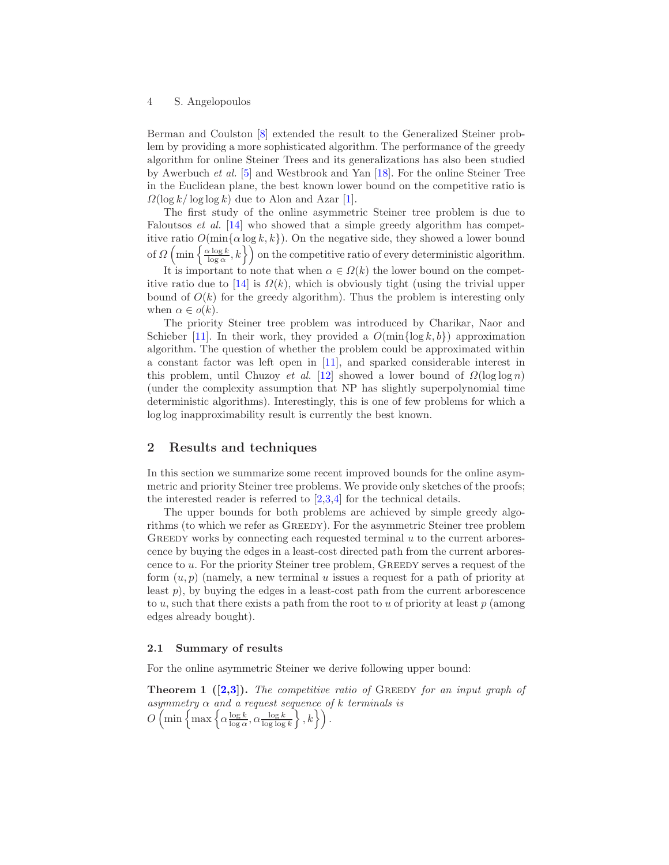Berman and Coulston [\[8\]](#page-9-4) extended the result to the Generalized Steiner problem by providing a more sophisticated algorithm. The performance of the greedy algorithm for online Steiner Trees and its generalizations has also been studied by Awerbuch et al. [\[5\]](#page-9-5) and Westbrook and Yan [\[18\]](#page-10-4). For the online Steiner Tree in the Euclidean plane, the best known lower bound on the competitive ratio is  $\Omega(\log k/\log \log k)$  due to Alon and Azar [\[1\]](#page-9-6).

The first study of the online asymmetric Steiner tree problem is due to Faloutsos *et al.* [\[14\]](#page-10-5) who showed that a simple greedy algorithm has competitive ratio  $O(\min{\{\alpha \log k, k\}})$ . On the negative side, they showed a lower bound of  $\Omega\left(\min\left\{\frac{\alpha\log k}{\log\alpha},k\right\}\right)$  on the competitive ratio of every deterministic algorithm.

It is important to note that when  $\alpha \in \Omega(k)$  the lower bound on the compet-itive ratio due to [\[14\]](#page-10-5) is  $\Omega(k)$ , which is obviously tight (using the trivial upper bound of  $O(k)$  for the greedy algorithm). Thus the problem is interesting only when  $\alpha \in o(k)$ .

The priority Steiner tree problem was introduced by Charikar, Naor and Schieber [\[11\]](#page-10-6). In their work, they provided a  $O(\min\{\log k, b\})$  approximation algorithm. The question of whether the problem could be approximated within a constant factor was left open in [\[11\]](#page-10-6), and sparked considerable interest in this problem, until Chuzoy et al. [\[12\]](#page-10-7) showed a lower bound of  $\Omega(\log \log n)$ (under the complexity assumption that NP has slightly superpolynomial time deterministic algorithms). Interestingly, this is one of few problems for which a log log inapproximability result is currently the best known.

# 2 Results and techniques

In this section we summarize some recent improved bounds for the online asymmetric and priority Steiner tree problems. We provide only sketches of the proofs; the interested reader is referred to [\[2,](#page-9-1)[3,](#page-9-2)[4\]](#page-9-3) for the technical details.

The upper bounds for both problems are achieved by simple greedy algorithms (to which we refer as Greedy). For the asymmetric Steiner tree problem GREEDY works by connecting each requested terminal  $u$  to the current arborescence by buying the edges in a least-cost directed path from the current arborescence to  $u$ . For the priority Steiner tree problem, GREEDY serves a request of the form  $(u, p)$  (namely, a new terminal u issues a request for a path of priority at least  $p$ ), by buying the edges in a least-cost path from the current arborescence to u, such that there exists a path from the root to u of priority at least  $p$  (among edges already bought).

## 2.1 Summary of results

<span id="page-3-0"></span>For the online asymmetric Steiner we derive following upper bound:

**Theorem 1**  $([2,3])$  $([2,3])$  $([2,3])$  $([2,3])$ . The competitive ratio of GREEDY for an input graph of asymmetry  $\alpha$  and a request sequence of k terminals is  $O\left(\min\left\{\max\left\{\alpha\frac{\log k}{\log \alpha}, \alpha\frac{\log k}{\log \log k}\right\}, k\right\}\right).$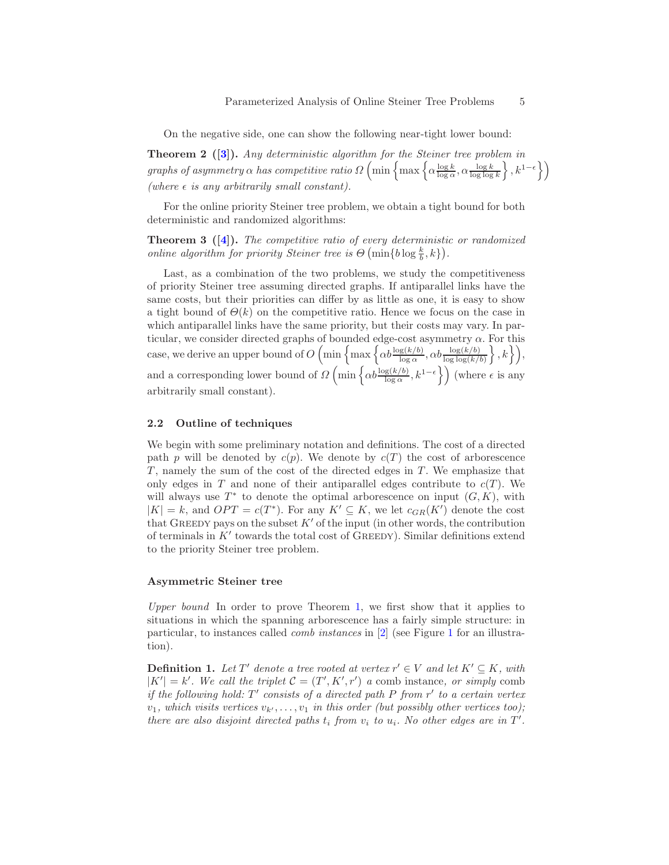<span id="page-4-0"></span>On the negative side, one can show the following near-tight lower bound:

Theorem 2 ([\[3\]](#page-9-2)). Any deterministic algorithm for the Steiner tree problem in graphs of asymmetry  $\alpha$  has competitive ratio  $\Omega\left(\min\left\{\max\left\{\alpha\frac{\log k}{\log \alpha}, \alpha \frac{\log k}{\log \log k}\right\}, k^{1-\epsilon}\right\}\right)$ (where  $\epsilon$  is any arbitrarily small constant).

<span id="page-4-1"></span>For the online priority Steiner tree problem, we obtain a tight bound for both deterministic and randomized algorithms:

**Theorem 3** ( $[4]$ ). The competitive ratio of every deterministic or randomized *online algorithm for priority Steiner tree is*  $\Theta$  (min{b log  $\frac{k}{b}$ , k}).

Last, as a combination of the two problems, we study the competitiveness of priority Steiner tree assuming directed graphs. If antiparallel links have the same costs, but their priorities can differ by as little as one, it is easy to show a tight bound of  $\Theta(k)$  on the competitive ratio. Hence we focus on the case in which antiparallel links have the same priority, but their costs may vary. In particular, we consider directed graphs of bounded edge-cost asymmetry  $\alpha$ . For this case, we derive an upper bound of  $O\left(\min\left\{\max\left\{\alpha b \frac{\log(k/b)}{\log \alpha}, \alpha b \frac{\log(k/b)}{\log \log(k/b)}\right\}, k\right\}\right)$ , and a corresponding lower bound of  $\Omega\left(\min\left\{\alpha b \frac{\log(k/b)}{\log \alpha}, k^{1-\epsilon}\right\}\right)$  (where  $\epsilon$  is any arbitrarily small constant).

#### 2.2 Outline of techniques

We begin with some preliminary notation and definitions. The cost of a directed path p will be denoted by  $c(p)$ . We denote by  $c(T)$  the cost of arborescence  $T$ , namely the sum of the cost of the directed edges in  $T$ . We emphasize that only edges in T and none of their antiparallel edges contribute to  $c(T)$ . We will always use  $T^*$  to denote the optimal arborescence on input  $(G, K)$ , with  $|K| = k$ , and  $OPT = c(T^*)$ . For any  $K' \subseteq K$ , we let  $c_{GR}(K')$  denote the cost that GREEDY pays on the subset  $K'$  of the input (in other words, the contribution of terminals in  $K'$  towards the total cost of GREEDY). Similar definitions extend to the priority Steiner tree problem.

#### Asymmetric Steiner tree

Upper bound In order to prove Theorem [1,](#page-3-0) we first show that it applies to situations in which the spanning arborescence has a fairly simple structure: in particular, to instances called comb instances in [\[2\]](#page-9-1) (see Figure [1](#page-5-0) for an illustration).

**Definition 1.** Let T' denote a tree rooted at vertex  $r' \in V$  and let  $K' \subseteq K$ , with  $|K'| = k'$ . We call the triplet  $C = (T', K', r')$  a comb instance, or simply comb if the following hold:  $T'$  consists of a directed path P from  $r'$  to a certain vertex  $v_1$ , which visits vertices  $v_{k'}, \ldots, v_1$  in this order (but possibly other vertices too); there are also disjoint directed paths  $t_i$  from  $v_i$  to  $u_i$ . No other edges are in  $T'$ .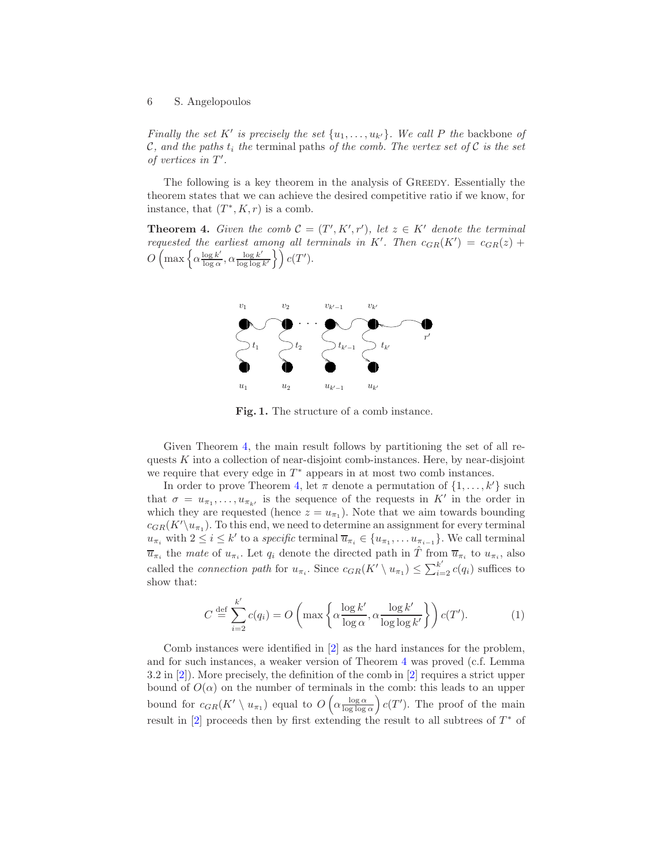Finally the set K' is precisely the set  $\{u_1, \ldots, u_{k'}\}$ . We call P the backbone of C, and the paths  $t_i$  the terminal paths of the comb. The vertex set of C is the set of vertices in  $T'$ .

The following is a key theorem in the analysis of GREEDY. Essentially the theorem states that we can achieve the desired competitive ratio if we know, for instance, that  $(T^*, K, r)$  is a comb.

**Theorem 4.** Given the comb  $C = (T', K', r')$ , let  $z \in K'$  denote the terminal requested the earliest among all terminals in K'. Then  $c_{GR}(K') = c_{GR}(z) +$  $O\left(\max\left\{\alpha\frac{\log k'}{\log \alpha}\right\}\right)$  $\frac{\log k'}{\log \alpha}$ ,  $\alpha \frac{\log k'}{\log \log \alpha}$  $\frac{\log k'}{\log \log k'}\bigg\}$   $c(T').$ 

<span id="page-5-1"></span>

<span id="page-5-0"></span>Fig. 1. The structure of a comb instance.

Given Theorem [4,](#page-5-1) the main result follows by partitioning the set of all requests K into a collection of near-disjoint comb-instances. Here, by near-disjoint we require that every edge in  $T^*$  appears in at most two comb instances.

In order to prove Theorem [4,](#page-5-1) let  $\pi$  denote a permutation of  $\{1, \ldots, k'\}$  such that  $\sigma = u_{\pi_1}, \ldots, u_{\pi_{k'}}$  is the sequence of the requests in K' in the order in which they are requested (hence  $z = u_{\pi_1}$ ). Note that we aim towards bounding  $c_{GR}(K'\setminus u_{\pi_1})$ . To this end, we need to determine an assignment for every terminal  $u_{\pi_i}$  with  $2 \leq i \leq k'$  to a *specific* terminal  $\overline{u}_{\pi_i} \in \{u_{\pi_1}, \ldots u_{\pi_{i-1}}\}$ . We call terminal  $\overline{u}_{\pi_i}$  the mate of  $u_{\pi_i}$ . Let  $q_i$  denote the directed path in  $\hat{T}$  from  $\overline{u}_{\pi_i}$  to  $u_{\pi_i}$ , also called the *connection path* for  $u_{\pi_i}$ . Since  $c_{GR}(K' \setminus u_{\pi_1}) \leq \sum_{i=2}^{k'} c(q_i)$  suffices to show that:

$$
C \stackrel{\text{def}}{=} \sum_{i=2}^{k'} c(q_i) = O\left(\max\left\{\alpha \frac{\log k'}{\log \alpha}, \alpha \frac{\log k'}{\log \log k'}\right\}\right) c(T').\tag{1}
$$

Comb instances were identified in [\[2\]](#page-9-1) as the hard instances for the problem, and for such instances, a weaker version of Theorem [4](#page-5-1) was proved (c.f. Lemma 3.2 in [\[2\]](#page-9-1)). More precisely, the definition of the comb in [\[2\]](#page-9-1) requires a strict upper bound of  $O(\alpha)$  on the number of terminals in the comb: this leads to an upper bound for  $c_{GR}(K' \setminus u_{\pi_1})$  equal to  $O\left(\alpha \frac{\log \alpha}{\log \log \alpha}\right) c(T')$ . The proof of the main result in  $[2]$  proceeds then by first extending the result to all subtrees of  $T^*$  of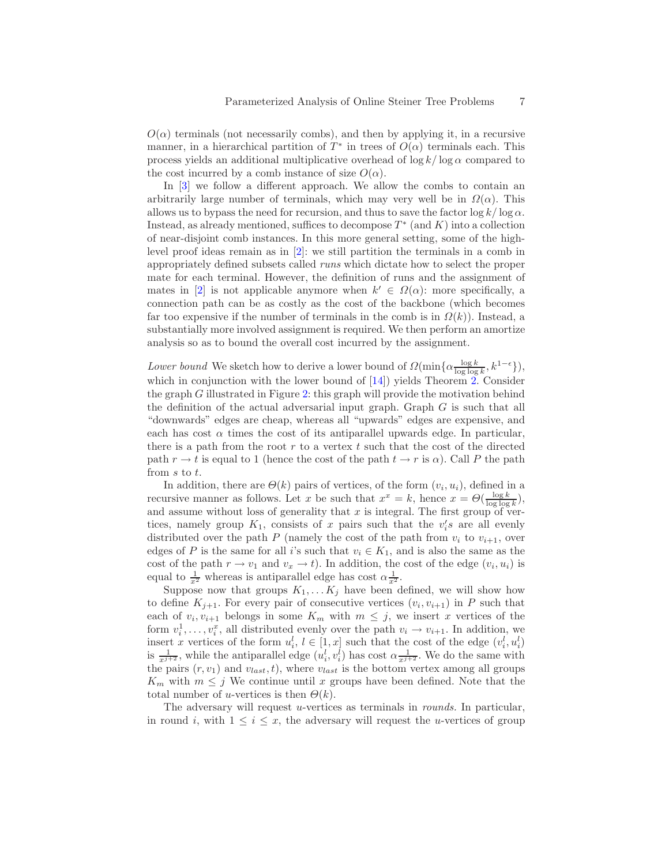$O(\alpha)$  terminals (not necessarily combs), and then by applying it, in a recursive manner, in a hierarchical partition of  $T^*$  in trees of  $O(\alpha)$  terminals each. This process yields an additional multiplicative overhead of  $\log k / \log \alpha$  compared to the cost incurred by a comb instance of size  $O(\alpha)$ .

In  $\lceil 3 \rceil$  we follow a different approach. We allow the combs to contain an arbitrarily large number of terminals, which may very well be in  $\Omega(\alpha)$ . This allows us to bypass the need for recursion, and thus to save the factor  $\log k / \log \alpha$ . Instead, as already mentioned, suffices to decompose  $T^*$  (and  $K$ ) into a collection of near-disjoint comb instances. In this more general setting, some of the highlevel proof ideas remain as in [\[2\]](#page-9-1): we still partition the terminals in a comb in appropriately defined subsets called runs which dictate how to select the proper mate for each terminal. However, the definition of runs and the assignment of mates in [\[2\]](#page-9-1) is not applicable anymore when  $k' \in \Omega(\alpha)$ : more specifically, a connection path can be as costly as the cost of the backbone (which becomes far too expensive if the number of terminals in the comb is in  $\Omega(k)$ ). Instead, a substantially more involved assignment is required. We then perform an amortize analysis so as to bound the overall cost incurred by the assignment.

Lower bound We sketch how to derive a lower bound of  $\Omega(\min{\{\alpha \frac{\log k}{\log \log k}, k^{1-\epsilon}\}})$ , which in conjunction with the lower bound of [\[14\]](#page-10-5)) yields Theorem [2.](#page-4-0) Consider the graph  $G$  illustrated in Figure [2:](#page-7-0) this graph will provide the motivation behind the definition of the actual adversarial input graph. Graph G is such that all "downwards" edges are cheap, whereas all "upwards" edges are expensive, and each has cost  $\alpha$  times the cost of its antiparallel upwards edge. In particular, there is a path from the root r to a vertex t such that the cost of the directed path  $r \to t$  is equal to 1 (hence the cost of the path  $t \to r$  is  $\alpha$ ). Call P the path from s to t.

In addition, there are  $\Theta(k)$  pairs of vertices, of the form  $(v_i, u_i)$ , defined in a recursive manner as follows. Let x be such that  $x^x = k$ , hence  $x = \Theta(\frac{\log k}{\log \log k})$ , and assume without loss of generality that  $x$  is integral. The first group of vertices, namely group  $K_1$ , consists of x pairs such that the  $v_i$ 's are all evenly distributed over the path P (namely the cost of the path from  $v_i$  to  $v_{i+1}$ , over edges of P is the same for all i's such that  $v_i \in K_1$ , and is also the same as the cost of the path  $r \to v_1$  and  $v_x \to t$ ). In addition, the cost of the edge  $(v_i, u_i)$  is equal to  $\frac{1}{x^2}$  whereas is antiparallel edge has cost  $\alpha \frac{1}{x^2}$ .

Suppose now that groups  $K_1, \ldots K_j$  have been defined, we will show how to define  $K_{j+1}$ . For every pair of consecutive vertices  $(v_i, v_{i+1})$  in P such that each of  $v_i, v_{i+1}$  belongs in some  $K_m$  with  $m \leq j$ , we insert x vertices of the form  $v_i^1, \ldots, v_i^x$ , all distributed evenly over the path  $v_i \to v_{i+1}$ . In addition, we insert x vertices of the form  $u_i^l, l \in [1, x]$  such that the cost of the edge  $(v_i^l, u_i^l)$ is  $\frac{1}{x^{j+2}}$ , while the antiparallel edge  $(u_i^l, v_i^l)$  has cost  $\alpha \frac{1}{x^{j+2}}$ . We do the same with the pairs  $(r, v_1)$  and  $v_{last}, t$ , where  $v_{last}$  is the bottom vertex among all groups  $K_m$  with  $m \leq j$  We continue until x groups have been defined. Note that the total number of *u*-vertices is then  $\Theta(k)$ .

The adversary will request u-vertices as terminals in rounds. In particular, in round i, with  $1 \leq i \leq x$ , the adversary will request the u-vertices of group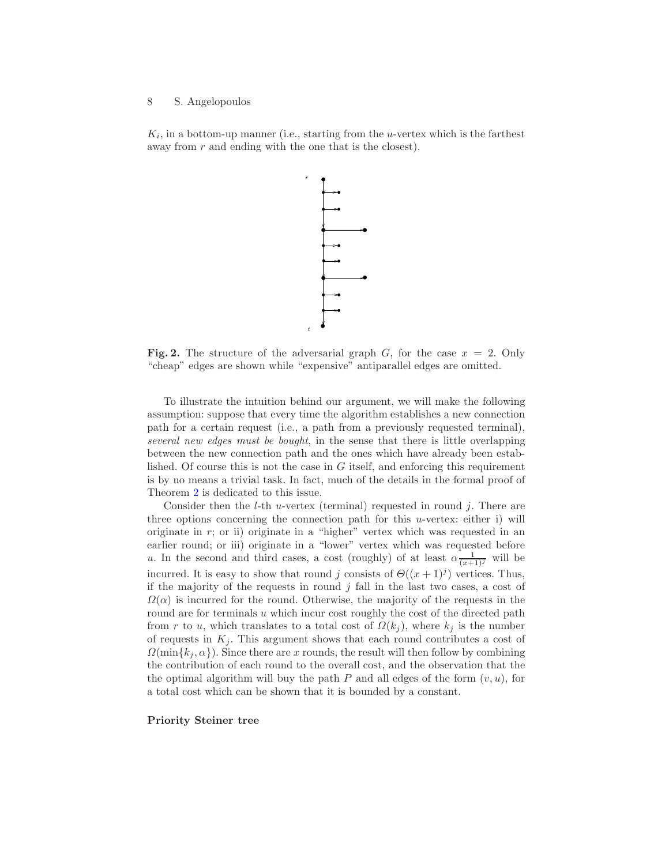$K_i$ , in a bottom-up manner (i.e., starting from the *u*-vertex which is the farthest away from  $r$  and ending with the one that is the closest).



<span id="page-7-0"></span>Fig. 2. The structure of the adversarial graph G, for the case  $x = 2$ . Only "cheap" edges are shown while "expensive" antiparallel edges are omitted.

t

r

To illustrate the intuition behind our argument, we will make the following assumption: suppose that every time the algorithm establishes a new connection path for a certain request (i.e., a path from a previously requested terminal), several new edges must be bought, in the sense that there is little overlapping between the new connection path and the ones which have already been established. Of course this is not the case in  $G$  itself, and enforcing this requirement is by no means a trivial task. In fact, much of the details in the formal proof of Theorem [2](#page-4-0) is dedicated to this issue.

Consider then the *l*-th *u*-vertex (terminal) requested in round  $j$ . There are three options concerning the connection path for this  $u$ -vertex: either i) will originate in r; or ii) originate in a "higher" vertex which was requested in an earlier round; or iii) originate in a "lower" vertex which was requested before u. In the second and third cases, a cost (roughly) of at least  $\alpha \frac{1}{(x+1)^j}$  will be incurred. It is easy to show that round j consists of  $\Theta((x+1)^j)$  vertices. Thus, if the majority of the requests in round  $j$  fall in the last two cases, a cost of  $\Omega(\alpha)$  is incurred for the round. Otherwise, the majority of the requests in the round are for terminals u which incur cost roughly the cost of the directed path from r to u, which translates to a total cost of  $\Omega(k_j)$ , where  $k_j$  is the number of requests in  $K_j$ . This argument shows that each round contributes a cost of  $\Omega(\min\{k_i, \alpha\})$ . Since there are x rounds, the result will then follow by combining the contribution of each round to the overall cost, and the observation that the the optimal algorithm will buy the path  $P$  and all edges of the form  $(v, u)$ , for a total cost which can be shown that it is bounded by a constant.

#### Priority Steiner tree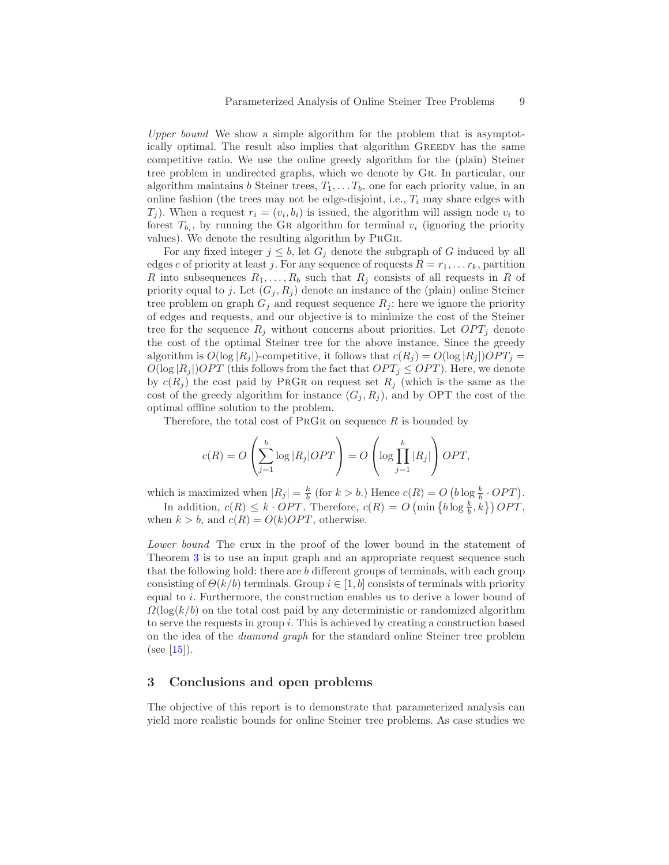Upper bound We show a simple algorithm for the problem that is asymptotically optimal. The result also implies that algorithm Greedy has the same competitive ratio. We use the online greedy algorithm for the (plain) Steiner tree problem in undirected graphs, which we denote by Gr. In particular, our algorithm maintains b Steiner trees,  $T_1, \ldots, T_b$ , one for each priority value, in an online fashion (the trees may not be edge-disjoint, i.e.,  $T_i$  may share edges with  $(T_j)$ . When a request  $r_i = (v_i, b_i)$  is issued, the algorithm will assign node  $v_i$  to forest  $T_{b_i}$ , by running the GR algorithm for terminal  $v_i$  (ignoring the priority values). We denote the resulting algorithm by PrGr.

For any fixed integer  $j \leq b$ , let  $G_j$  denote the subgraph of G induced by all edges e of priority at least j. For any sequence of requests  $R = r_1, \ldots r_k$ , partition R into subsequences  $R_1, \ldots, R_b$  such that  $R_j$  consists of all requests in R of priority equal to j. Let  $(G_j, R_j)$  denote an instance of the (plain) online Steiner tree problem on graph  $G_j$  and request sequence  $R_j$ : here we ignore the priority of edges and requests, and our objective is to minimize the cost of the Steiner tree for the sequence  $R_j$  without concerns about priorities. Let  $OPT_j$  denote the cost of the optimal Steiner tree for the above instance. Since the greedy algorithm is  $O(\log |R_i|)$ -competitive, it follows that  $c(R_i) = O(\log |R_i|)OPT_i =$  $O(\log |R_j|)$ OPT (this follows from the fact that  $OPT_j \leq OPT$ ). Here, we denote by  $c(R_i)$  the cost paid by PRGR on request set  $R_i$  (which is the same as the cost of the greedy algorithm for instance  $(G_j, R_j)$ , and by OPT the cost of the optimal offline solution to the problem.

Therefore, the total cost of  $P_RGR$  on sequence R is bounded by

$$
c(R) = O\left(\sum_{j=1}^{b} \log |R_j| OPT\right) = O\left(\log \prod_{j=1}^{b} |R_j|\right) OPT,
$$

which is maximized when  $|R_j| = \frac{k}{b}$  (for  $k > b$ .) Hence  $c(R) = O(b \log \frac{k}{b} \cdot OPT)$ . In addition,  $c(R) \leq k \cdot OPT$ . Therefore,  $c(R) = O\left(\min\left\{b \log \frac{k}{b}, k\right\}\right) OPT$ ,

when  $k > b$ , and  $c(R) = O(k)OPT$ , otherwise.

Lower bound The crux in the proof of the lower bound in the statement of Theorem [3](#page-4-1) is to use an input graph and an appropriate request sequence such that the following hold: there are b different groups of terminals, with each group consisting of  $\Theta(k/b)$  terminals. Group  $i \in [1, b]$  consists of terminals with priority equal to i. Furthermore, the construction enables us to derive a lower bound of  $\Omega(\log(k/b))$  on the total cost paid by any deterministic or randomized algorithm to serve the requests in group  $i$ . This is achieved by creating a construction based on the idea of the diamond graph for the standard online Steiner tree problem (see  $[15]$ ).

# 3 Conclusions and open problems

The objective of this report is to demonstrate that parameterized analysis can yield more realistic bounds for online Steiner tree problems. As case studies we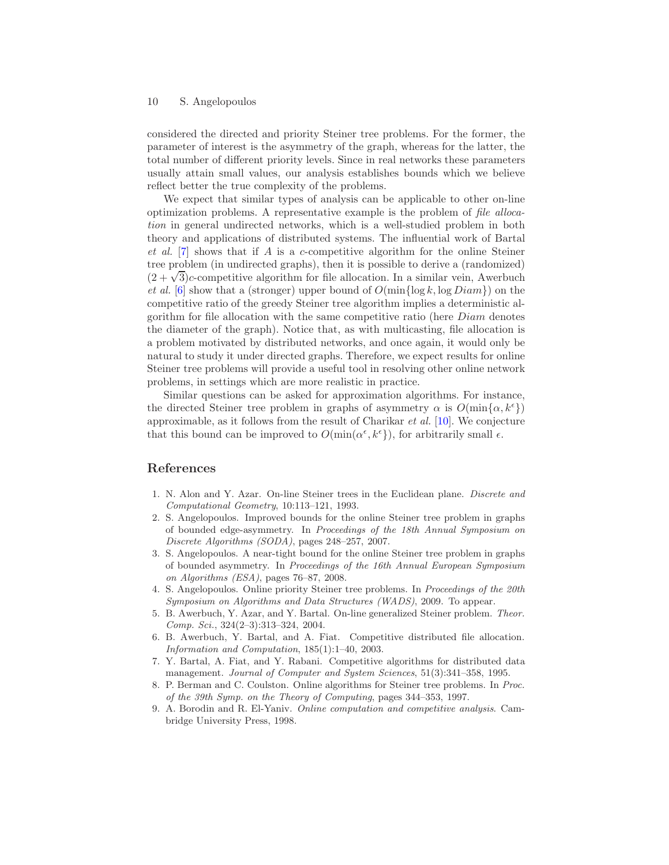considered the directed and priority Steiner tree problems. For the former, the parameter of interest is the asymmetry of the graph, whereas for the latter, the total number of different priority levels. Since in real networks these parameters usually attain small values, our analysis establishes bounds which we believe reflect better the true complexity of the problems.

We expect that similar types of analysis can be applicable to other on-line optimization problems. A representative example is the problem of file allocation in general undirected networks, which is a well-studied problem in both theory and applications of distributed systems. The influential work of Bartal et al. [\[7\]](#page-9-7) shows that if A is a c-competitive algorithm for the online Steiner tree problem (in undirected graphs), then it is possible to derive a (randomized)  $(2 + \sqrt{3})c$ -competitive algorithm for file allocation. In a similar vein, Awerbuch et al. [\[6\]](#page-9-8) show that a (stronger) upper bound of  $O(\min\{\log k, \log Diam\})$  on the competitive ratio of the greedy Steiner tree algorithm implies a deterministic algorithm for file allocation with the same competitive ratio (here Diam denotes the diameter of the graph). Notice that, as with multicasting, file allocation is a problem motivated by distributed networks, and once again, it would only be natural to study it under directed graphs. Therefore, we expect results for online Steiner tree problems will provide a useful tool in resolving other online network problems, in settings which are more realistic in practice.

Similar questions can be asked for approximation algorithms. For instance, the directed Steiner tree problem in graphs of asymmetry  $\alpha$  is  $O(\min\{\alpha, k^{\epsilon}\})$ approximable, as it follows from the result of Charikar et al. [\[10\]](#page-10-8). We conjecture that this bound can be improved to  $O(\min(\alpha^{\epsilon}, k^{\epsilon}))$ , for arbitrarily small  $\epsilon$ .

# <span id="page-9-6"></span>References

- 1. N. Alon and Y. Azar. On-line Steiner trees in the Euclidean plane. Discrete and Computational Geometry, 10:113–121, 1993.
- <span id="page-9-1"></span>2. S. Angelopoulos. Improved bounds for the online Steiner tree problem in graphs of bounded edge-asymmetry. In Proceedings of the 18th Annual Symposium on Discrete Algorithms (SODA), pages 248–257, 2007.
- <span id="page-9-2"></span>3. S. Angelopoulos. A near-tight bound for the online Steiner tree problem in graphs of bounded asymmetry. In Proceedings of the 16th Annual European Symposium on Algorithms (ESA), pages 76–87, 2008.
- <span id="page-9-3"></span>4. S. Angelopoulos. Online priority Steiner tree problems. In Proceedings of the 20th Symposium on Algorithms and Data Structures (WADS), 2009. To appear.
- <span id="page-9-5"></span>5. B. Awerbuch, Y. Azar, and Y. Bartal. On-line generalized Steiner problem. Theor. Comp. Sci., 324(2–3):313–324, 2004.
- <span id="page-9-8"></span>6. B. Awerbuch, Y. Bartal, and A. Fiat. Competitive distributed file allocation. Information and Computation, 185(1):1–40, 2003.
- <span id="page-9-7"></span>7. Y. Bartal, A. Fiat, and Y. Rabani. Competitive algorithms for distributed data management. Journal of Computer and System Sciences, 51(3):341-358, 1995.
- <span id="page-9-4"></span>8. P. Berman and C. Coulston. Online algorithms for Steiner tree problems. In Proc. of the 39th Symp. on the Theory of Computing, pages 344–353, 1997.
- <span id="page-9-0"></span>9. A. Borodin and R. El-Yaniv. Online computation and competitive analysis. Cambridge University Press, 1998.